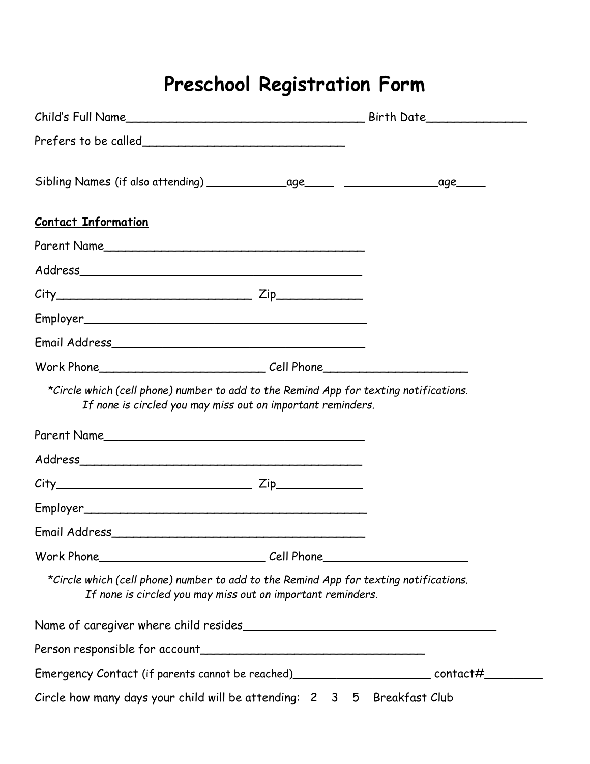## Preschool Registration Form

| <b>Contact Information</b>                                                                                                                                          |  |
|---------------------------------------------------------------------------------------------------------------------------------------------------------------------|--|
| Parent Name                                                                                                                                                         |  |
|                                                                                                                                                                     |  |
| $City$ $Zip$                                                                                                                                                        |  |
|                                                                                                                                                                     |  |
|                                                                                                                                                                     |  |
|                                                                                                                                                                     |  |
| *Circle which (cell phone) number to add to the Remind App for texting notifications.<br>If none is circled you may miss out on important reminders.<br>Parent Name |  |
|                                                                                                                                                                     |  |
| $City$ $Zip$                                                                                                                                                        |  |
|                                                                                                                                                                     |  |
|                                                                                                                                                                     |  |
|                                                                                                                                                                     |  |
| *Circle which (cell phone) number to add to the Remind App for texting notifications.<br>If none is circled you may miss out on important reminders.                |  |
|                                                                                                                                                                     |  |
|                                                                                                                                                                     |  |
| Emergency Contact (if parents cannot be reached)______________________________contact#_____________                                                                 |  |
| Circle how many days your child will be attending: 2 3 5 Breakfast Club                                                                                             |  |